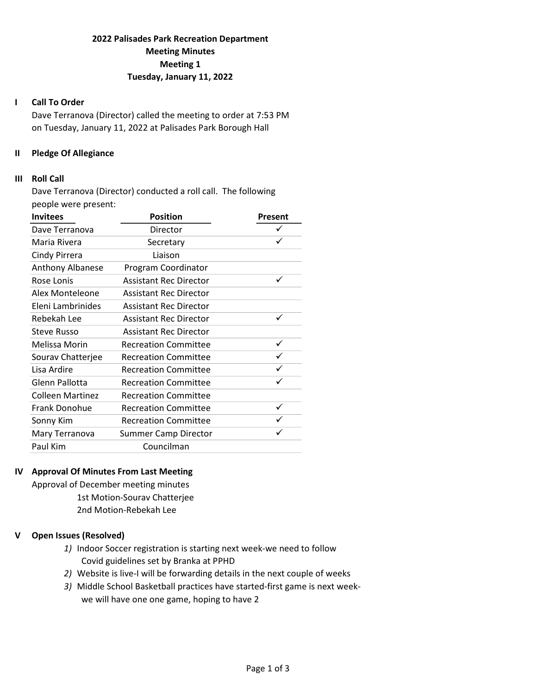# 2022 Palisades Park Recreation Department Meeting Minutes Meeting 1 Tuesday, January 11, 2022

### I Call To Order

Dave Terranova (Director) called the meeting to order at 7:53 PM on Tuesday, January 11, 2022 at Palisades Park Borough Hall

### II Pledge Of Allegiance

#### III Roll Call

Dave Terranova (Director) conducted a roll call. The following people were present:

| <b>Invitees</b>         | <b>Position</b>               | Present |
|-------------------------|-------------------------------|---------|
| Dave Terranova          | Director                      | ✓       |
| Maria Rivera            | Secretary                     | ✓       |
| Cindy Pirrera           | Liaison                       |         |
| Anthony Albanese        | Program Coordinator           |         |
| Rose Lonis              | <b>Assistant Rec Director</b> | ✓       |
| Alex Monteleone         | <b>Assistant Rec Director</b> |         |
| Eleni Lambrinides       | <b>Assistant Rec Director</b> |         |
| Rebekah Lee             | <b>Assistant Rec Director</b> | ✓       |
| <b>Steve Russo</b>      | <b>Assistant Rec Director</b> |         |
| Melissa Morin           | <b>Recreation Committee</b>   | ✓       |
| Sourav Chatterjee       | <b>Recreation Committee</b>   |         |
| Lisa Ardire             | <b>Recreation Committee</b>   | ✓       |
| Glenn Pallotta          | <b>Recreation Committee</b>   | ✓       |
| <b>Colleen Martinez</b> | <b>Recreation Committee</b>   |         |
| Frank Donohue           | <b>Recreation Committee</b>   | ✓       |
| Sonny Kim               | <b>Recreation Committee</b>   |         |
| Mary Terranova          | <b>Summer Camp Director</b>   |         |
| Paul Kim                | Councilman                    |         |

### IV Approval Of Minutes From Last Meeting

Approval of December meeting minutes 1st Motion-Sourav Chatterjee 2nd Motion-Rebekah Lee

## V Open Issues (Resolved)

- 1) Indoor Soccer registration is starting next week-we need to follow Covid guidelines set by Branka at PPHD
- 2) Website is live-I will be forwarding details in the next couple of weeks
- 3) Middle School Basketball practices have started-first game is next week we will have one one game, hoping to have 2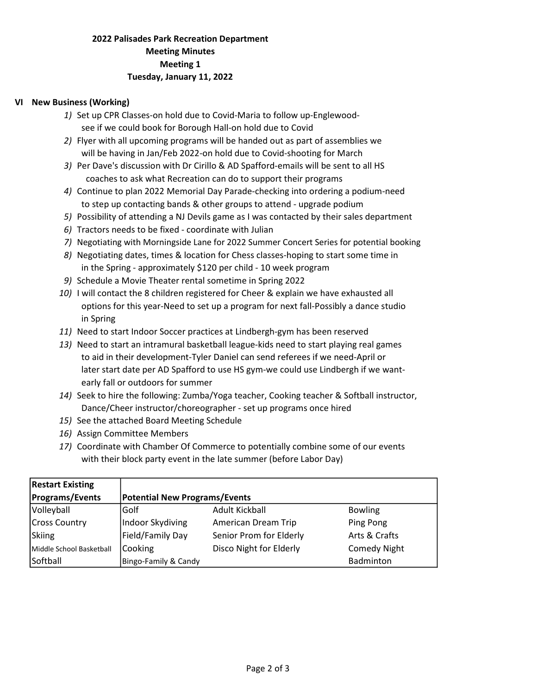# 2022 Palisades Park Recreation Department Meeting Minutes Meeting 1 Tuesday, January 11, 2022

## VI New Business (Working)

- 1) Set up CPR Classes-on hold due to Covid-Maria to follow up-Englewood see if we could book for Borough Hall-on hold due to Covid
- 2) Flyer with all upcoming programs will be handed out as part of assemblies we will be having in Jan/Feb 2022-on hold due to Covid-shooting for March
- 3) Per Dave's discussion with Dr Cirillo & AD Spafford-emails will be sent to all HS coaches to ask what Recreation can do to support their programs
- 4) Continue to plan 2022 Memorial Day Parade-checking into ordering a podium-need to step up contacting bands & other groups to attend - upgrade podium
- 5) Possibility of attending a NJ Devils game as I was contacted by their sales department
- 6) Tractors needs to be fixed coordinate with Julian
- 7) Negotiating with Morningside Lane for 2022 Summer Concert Series for potential booking
- 8) Negotiating dates, times & location for Chess classes-hoping to start some time in in the Spring - approximately \$120 per child - 10 week program
- 9) Schedule a Movie Theater rental sometime in Spring 2022
- 10) I will contact the 8 children registered for Cheer & explain we have exhausted all options for this year-Need to set up a program for next fall-Possibly a dance studio in Spring
- 11) Need to start Indoor Soccer practices at Lindbergh-gym has been reserved
- 13) Need to start an intramural basketball league-kids need to start playing real games to aid in their development-Tyler Daniel can send referees if we need-April or later start date per AD Spafford to use HS gym-we could use Lindbergh if we want early fall or outdoors for summer
- 14) Seek to hire the following: Zumba/Yoga teacher, Cooking teacher & Softball instructor, Dance/Cheer instructor/choreographer - set up programs once hired
- 15) See the attached Board Meeting Schedule
- 16) Assign Committee Members
- 17) Coordinate with Chamber Of Commerce to potentially combine some of our events with their block party event in the late summer (before Labor Day)

| <b>Restart Existing</b>  |                                      |                         |                     |
|--------------------------|--------------------------------------|-------------------------|---------------------|
| <b>Programs/Events</b>   | <b>Potential New Programs/Events</b> |                         |                     |
| Volleyball               | Golf                                 | Adult Kickball          | <b>Bowling</b>      |
| <b>Cross Country</b>     | Indoor Skydiving                     | American Dream Trip     | Ping Pong           |
| Skiing                   | Field/Family Day                     | Senior Prom for Elderly | Arts & Crafts       |
| Middle School Basketball | Cooking                              | Disco Night for Elderly | <b>Comedy Night</b> |
| Softball                 | Bingo-Family & Candy                 |                         | Badminton           |